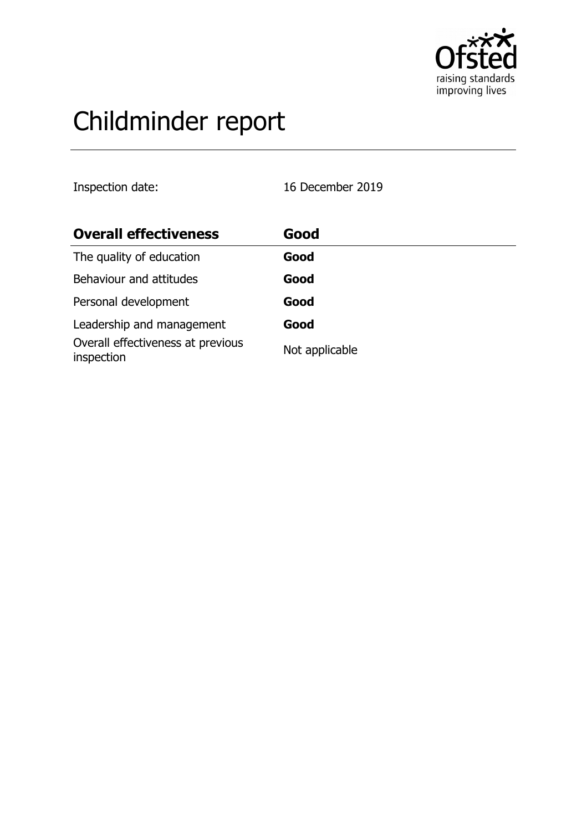

# Childminder report

Inspection date: 16 December 2019

| <b>Overall effectiveness</b>                    | Good           |
|-------------------------------------------------|----------------|
| The quality of education                        | Good           |
| Behaviour and attitudes                         | Good           |
| Personal development                            | Good           |
| Leadership and management                       | Good           |
| Overall effectiveness at previous<br>inspection | Not applicable |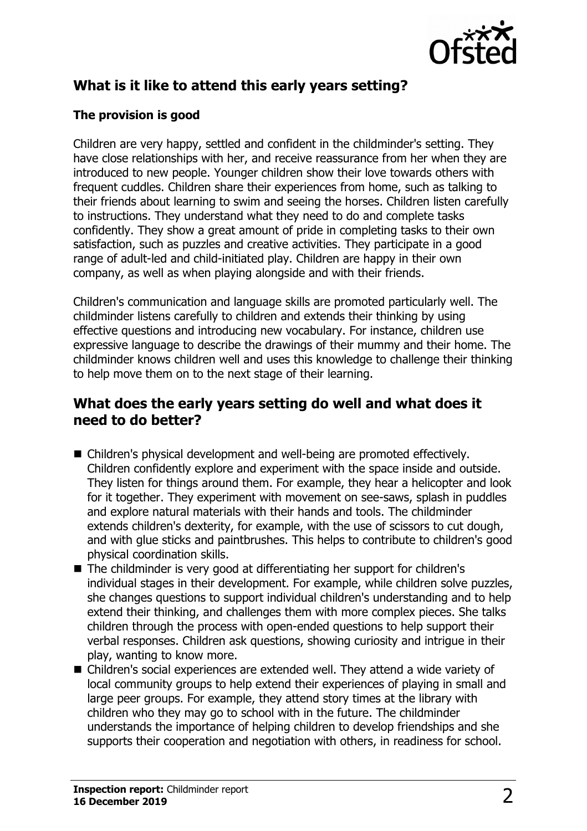

## **What is it like to attend this early years setting?**

### **The provision is good**

Children are very happy, settled and confident in the childminder's setting. They have close relationships with her, and receive reassurance from her when they are introduced to new people. Younger children show their love towards others with frequent cuddles. Children share their experiences from home, such as talking to their friends about learning to swim and seeing the horses. Children listen carefully to instructions. They understand what they need to do and complete tasks confidently. They show a great amount of pride in completing tasks to their own satisfaction, such as puzzles and creative activities. They participate in a good range of adult-led and child-initiated play. Children are happy in their own company, as well as when playing alongside and with their friends.

Children's communication and language skills are promoted particularly well. The childminder listens carefully to children and extends their thinking by using effective questions and introducing new vocabulary. For instance, children use expressive language to describe the drawings of their mummy and their home. The childminder knows children well and uses this knowledge to challenge their thinking to help move them on to the next stage of their learning.

## **What does the early years setting do well and what does it need to do better?**

- Children's physical development and well-being are promoted effectively. Children confidently explore and experiment with the space inside and outside. They listen for things around them. For example, they hear a helicopter and look for it together. They experiment with movement on see-saws, splash in puddles and explore natural materials with their hands and tools. The childminder extends children's dexterity, for example, with the use of scissors to cut dough, and with glue sticks and paintbrushes. This helps to contribute to children's good physical coordination skills.
- $\blacksquare$  The childminder is very good at differentiating her support for children's individual stages in their development. For example, while children solve puzzles, she changes questions to support individual children's understanding and to help extend their thinking, and challenges them with more complex pieces. She talks children through the process with open-ended questions to help support their verbal responses. Children ask questions, showing curiosity and intrigue in their play, wanting to know more.
- Children's social experiences are extended well. They attend a wide variety of local community groups to help extend their experiences of playing in small and large peer groups. For example, they attend story times at the library with children who they may go to school with in the future. The childminder understands the importance of helping children to develop friendships and she supports their cooperation and negotiation with others, in readiness for school.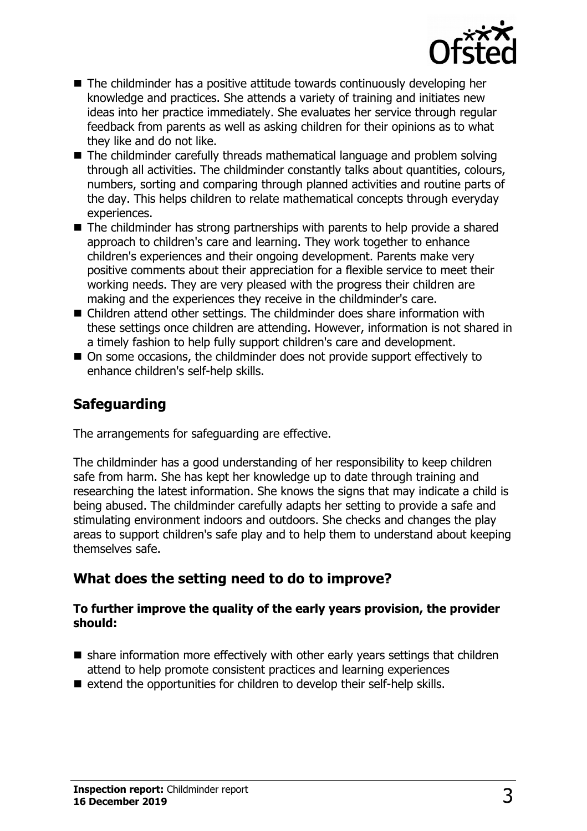

- $\blacksquare$  The childminder has a positive attitude towards continuously developing her knowledge and practices. She attends a variety of training and initiates new ideas into her practice immediately. She evaluates her service through regular feedback from parents as well as asking children for their opinions as to what they like and do not like.
- $\blacksquare$  The childminder carefully threads mathematical language and problem solving through all activities. The childminder constantly talks about quantities, colours, numbers, sorting and comparing through planned activities and routine parts of the day. This helps children to relate mathematical concepts through everyday experiences.
- $\blacksquare$  The childminder has strong partnerships with parents to help provide a shared approach to children's care and learning. They work together to enhance children's experiences and their ongoing development. Parents make very positive comments about their appreciation for a flexible service to meet their working needs. They are very pleased with the progress their children are making and the experiences they receive in the childminder's care.
- $\blacksquare$  Children attend other settings. The childminder does share information with these settings once children are attending. However, information is not shared in a timely fashion to help fully support children's care and development.
- On some occasions, the childminder does not provide support effectively to enhance children's self-help skills.

## **Safeguarding**

The arrangements for safeguarding are effective.

The childminder has a good understanding of her responsibility to keep children safe from harm. She has kept her knowledge up to date through training and researching the latest information. She knows the signs that may indicate a child is being abused. The childminder carefully adapts her setting to provide a safe and stimulating environment indoors and outdoors. She checks and changes the play areas to support children's safe play and to help them to understand about keeping themselves safe.

## **What does the setting need to do to improve?**

#### **To further improve the quality of the early years provision, the provider should:**

- $\blacksquare$  share information more effectively with other early years settings that children attend to help promote consistent practices and learning experiences
- $\blacksquare$  extend the opportunities for children to develop their self-help skills.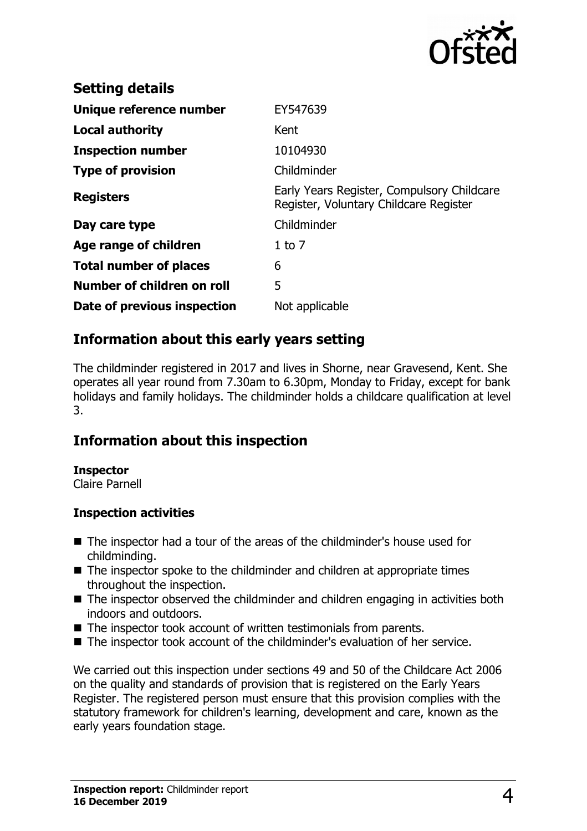

| <b>Setting details</b>        |                                                                                      |
|-------------------------------|--------------------------------------------------------------------------------------|
| Unique reference number       | EY547639                                                                             |
| <b>Local authority</b>        | Kent                                                                                 |
| <b>Inspection number</b>      | 10104930                                                                             |
| <b>Type of provision</b>      | Childminder                                                                          |
| <b>Registers</b>              | Early Years Register, Compulsory Childcare<br>Register, Voluntary Childcare Register |
| Day care type                 | Childminder                                                                          |
| Age range of children         | $1$ to $7$                                                                           |
| <b>Total number of places</b> | 6                                                                                    |
| Number of children on roll    | 5                                                                                    |
| Date of previous inspection   | Not applicable                                                                       |

## **Information about this early years setting**

The childminder registered in 2017 and lives in Shorne, near Gravesend, Kent. She operates all year round from 7.30am to 6.30pm, Monday to Friday, except for bank holidays and family holidays. The childminder holds a childcare qualification at level 3.

## **Information about this inspection**

#### **Inspector**

Claire Parnell

#### **Inspection activities**

- The inspector had a tour of the areas of the childminder's house used for childminding.
- $\blacksquare$  The inspector spoke to the childminder and children at appropriate times throughout the inspection.
- $\blacksquare$  The inspector observed the childminder and children engaging in activities both indoors and outdoors.
- $\blacksquare$  The inspector took account of written testimonials from parents.
- The inspector took account of the childminder's evaluation of her service.

We carried out this inspection under sections 49 and 50 of the Childcare Act 2006 on the quality and standards of provision that is registered on the Early Years Register. The registered person must ensure that this provision complies with the statutory framework for children's learning, development and care, known as the early years foundation stage.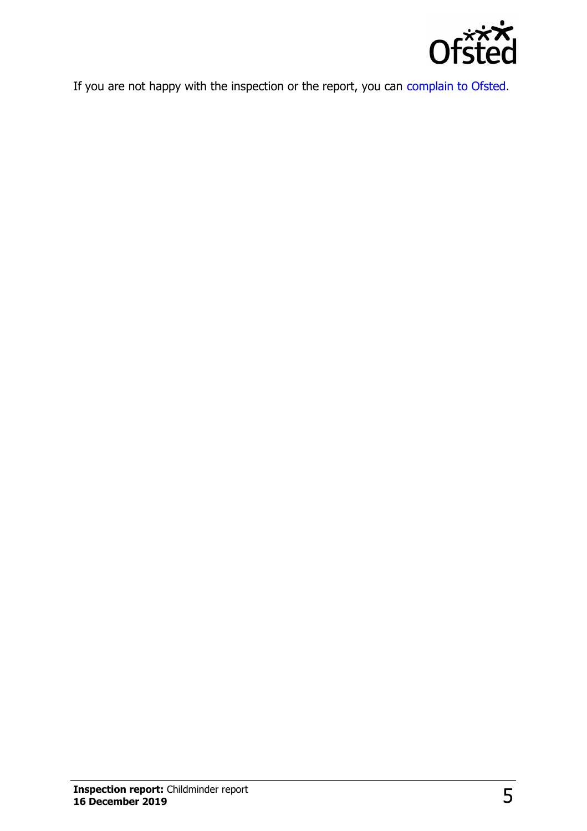

If you are not happy with the inspection or the report, you can [complain to Ofsted.](http://www.gov.uk/complain-ofsted-report)